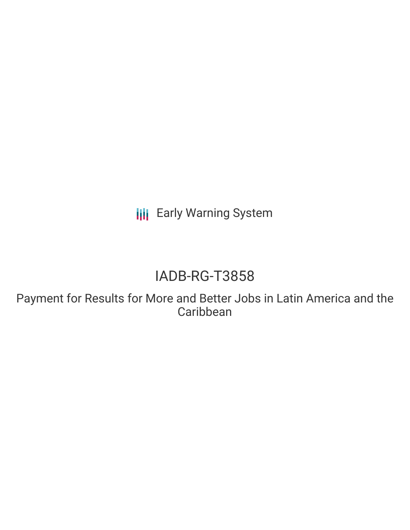**III** Early Warning System

# IADB-RG-T3858

Payment for Results for More and Better Jobs in Latin America and the Caribbean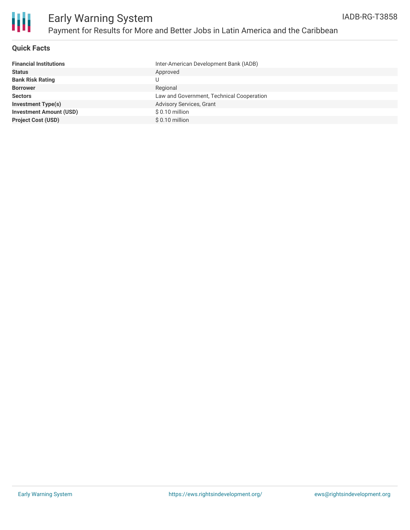

### **Quick Facts**

| Inter-American Development Bank (IADB)    |
|-------------------------------------------|
| Approved                                  |
| U                                         |
| Regional                                  |
| Law and Government, Technical Cooperation |
| <b>Advisory Services, Grant</b>           |
| $$0.10$ million                           |
| $$0.10$ million                           |
|                                           |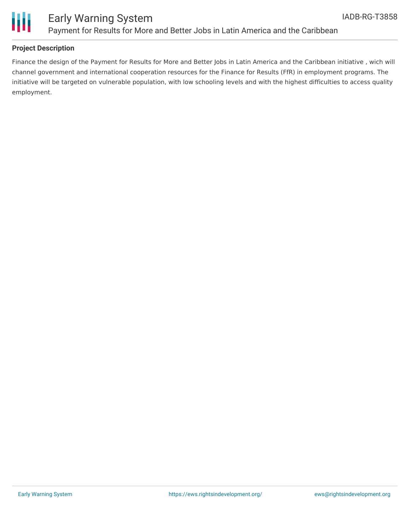

### Early Warning System Payment for Results for More and Better Jobs in Latin America and the Caribbean

### **Project Description**

Finance the design of the Payment for Results for More and Better Jobs in Latin America and the Caribbean initiative , wich will channel government and international cooperation resources for the Finance for Results (FfR) in employment programs. The initiative will be targeted on vulnerable population, with low schooling levels and with the highest difficulties to access quality employment.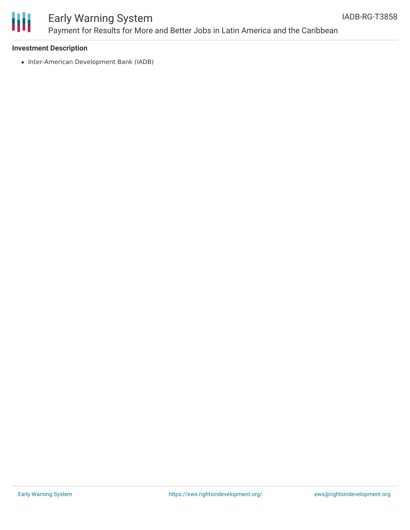

## Early Warning System Payment for Results for More and Better Jobs in Latin America and the Caribbean

### **Investment Description**

• Inter-American Development Bank (IADB)